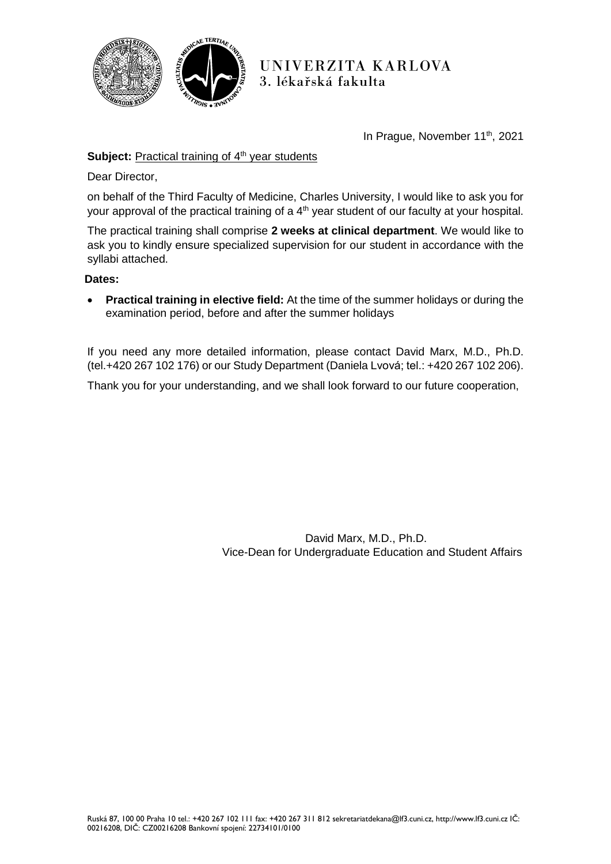

UNIVERZITA KARLOVA 3. lékařská fakulta

In Prague, November 11<sup>th</sup>, 2021

# **Subject:** Practical training of 4<sup>th</sup> year students

Dear Director,

on behalf of the Third Faculty of Medicine, Charles University, I would like to ask you for your approval of the practical training of a 4<sup>th</sup> year student of our faculty at your hospital.

The practical training shall comprise **2 weeks at clinical department**. We would like to ask you to kindly ensure specialized supervision for our student in accordance with the syllabi attached.

### **Dates:**

 **Practical training in elective field:** At the time of the summer holidays or during the examination period, before and after the summer holidays

If you need any more detailed information, please contact David Marx, M.D., Ph.D. (tel.+420 267 102 176) or our Study Department (Daniela Lvová; tel.: +420 267 102 206).

Thank you for your understanding, and we shall look forward to our future cooperation,

David Marx, M.D., Ph.D. Vice-Dean for Undergraduate Education and Student Affairs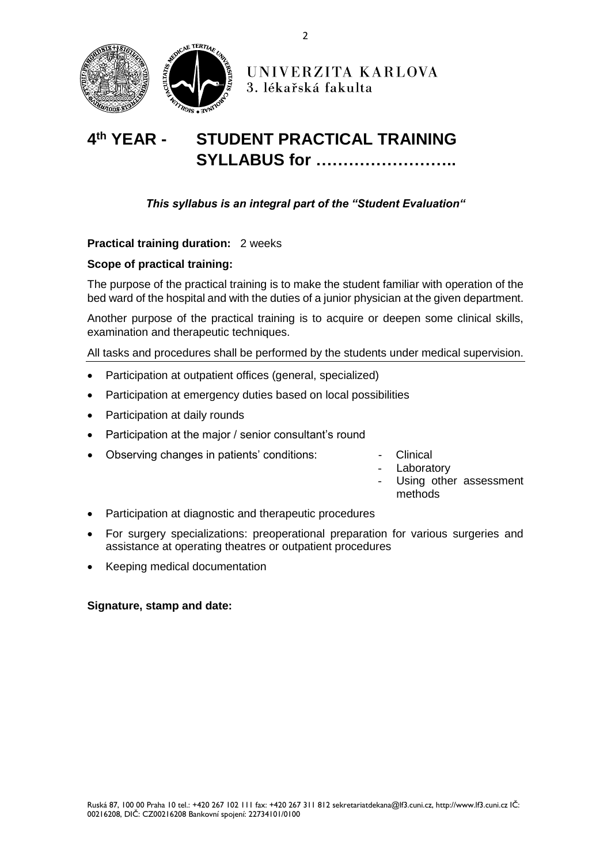

#### 4<sup>th</sup> **YEAR -STUDENT PRACTICAL TRAINING SYLLABUS for ……………………..**

*This syllabus is an integral part of the "Student Evaluation"*

**Practical training duration:** 2 weeks

## **Scope of practical training:**

The purpose of the practical training is to make the student familiar with operation of the bed ward of the hospital and with the duties of a junior physician at the given department.

Another purpose of the practical training is to acquire or deepen some clinical skills, examination and therapeutic techniques.

All tasks and procedures shall be performed by the students under medical supervision.

- Participation at outpatient offices (general, specialized)
- Participation at emergency duties based on local possibilities
- Participation at daily rounds
- Participation at the major / senior consultant's round
- Observing changes in patients' conditions: The School Clinical
	-
	- Laboratory
		- Using other assessment methods
- Participation at diagnostic and therapeutic procedures
- For surgery specializations: preoperational preparation for various surgeries and assistance at operating theatres or outpatient procedures
- Keeping medical documentation

### **Signature, stamp and date:**